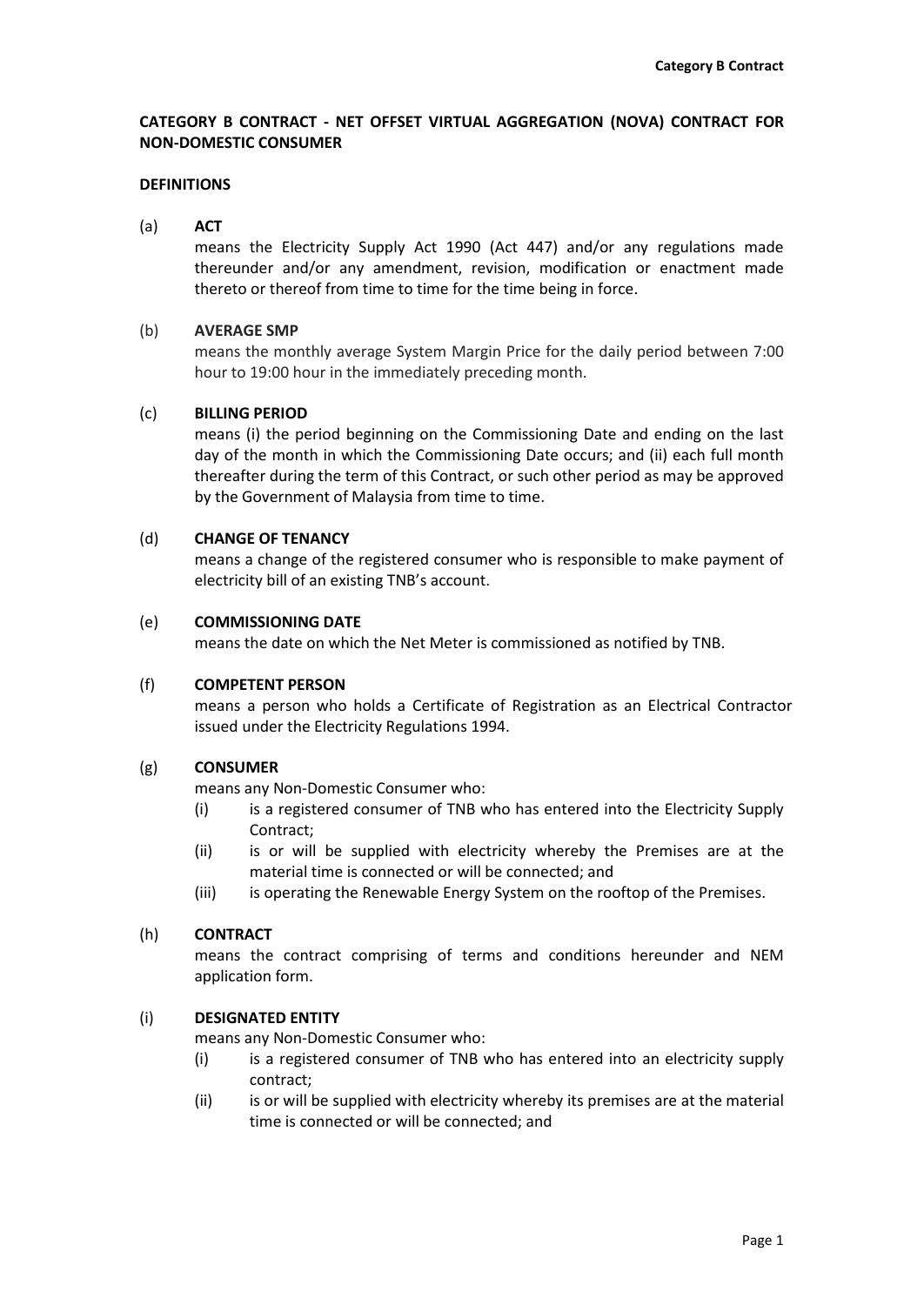## **CATEGORY B CONTRACT - NET OFFSET VIRTUAL AGGREGATION (NOVA) CONTRACT FOR NON-DOMESTIC CONSUMER**

#### **DEFINITIONS**

(a) **ACT**

means the Electricity Supply Act 1990 (Act 447) and/or any regulations made thereunder and/or any amendment, revision, modification or enactment made thereto or thereof from time to time for the time being in force.

#### (b) **AVERAGE SMP**

means the monthly average System Margin Price for the daily period between 7:00 hour to 19:00 hour in the immediately preceding month.

### (c) **BILLING PERIOD**

means (i) the period beginning on the Commissioning Date and ending on the last day of the month in which the Commissioning Date occurs; and (ii) each full month thereafter during the term of this Contract, or such other period as may be approved by the Government of Malaysia from time to time.

## (d) **CHANGE OF TENANCY**

means a change of the registered consumer who is responsible to make payment of electricity bill of an existing TNB's account.

#### (e) **COMMISSIONING DATE**

means the date on which the Net Meter is commissioned as notified by TNB.

## (f) **COMPETENT PERSON**

means a person who holds a Certificate of Registration as an Electrical Contractor issued under the Electricity Regulations 1994.

## (g) **CONSUMER**

means any Non-Domestic Consumer who:

- (i) is a registered consumer of TNB who has entered into the Electricity Supply Contract;
- (ii) is or will be supplied with electricity whereby the Premises are at the material time is connected or will be connected; and
- (iii) is operating the Renewable Energy System on the rooftop of the Premises.

#### (h) **CONTRACT**

means the contract comprising of terms and conditions hereunder and NEM application form.

## (i) **DESIGNATED ENTITY**

means any Non-Domestic Consumer who:

- (i) is a registered consumer of TNB who has entered into an electricity supply contract;
- (ii) is or will be supplied with electricity whereby its premises are at the material time is connected or will be connected; and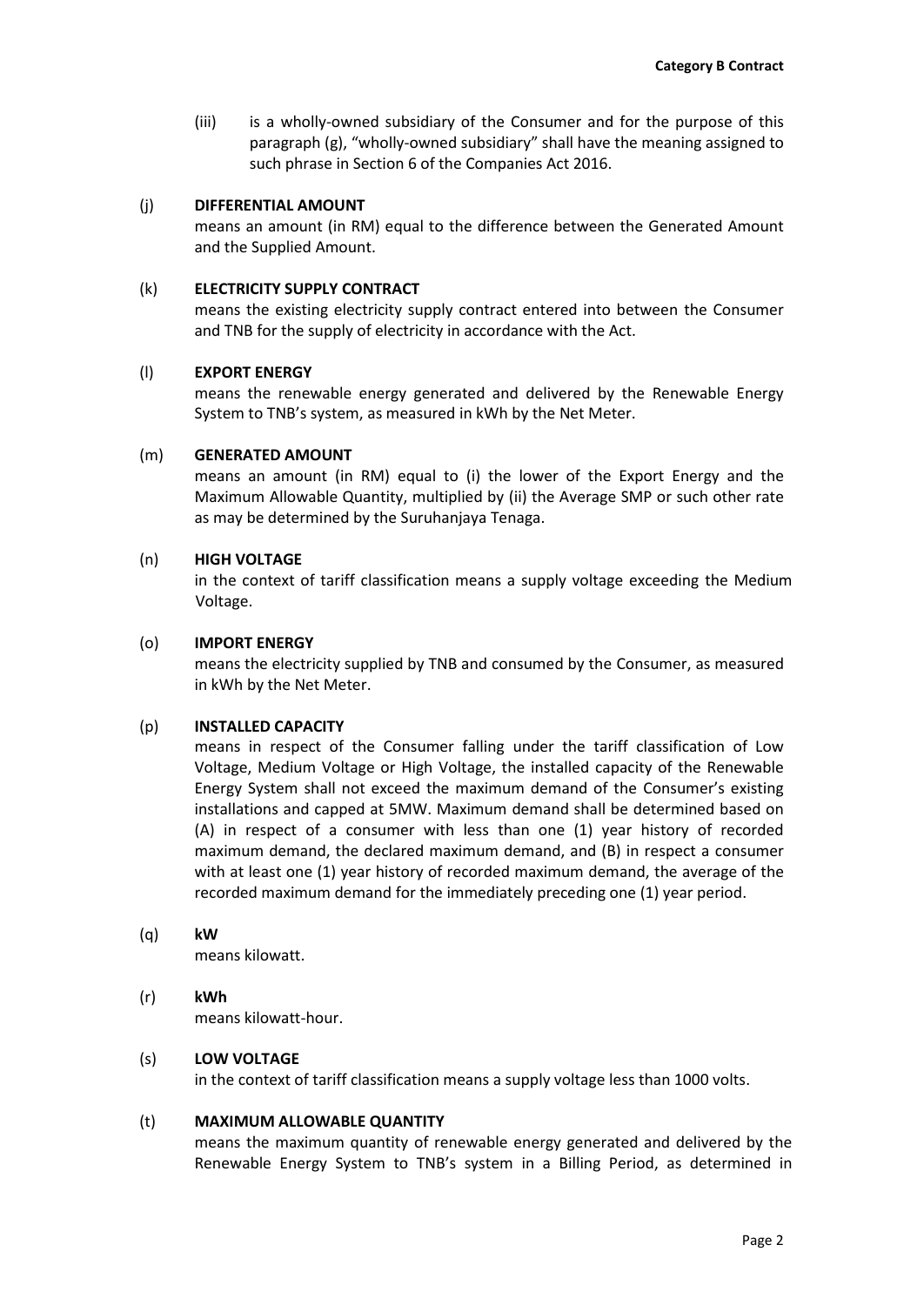(iii) is a wholly-owned subsidiary of the Consumer and for the purpose of this paragraph (g), "wholly-owned subsidiary" shall have the meaning assigned to such phrase in Section 6 of the Companies Act 2016.

### (j) **DIFFERENTIAL AMOUNT**

means an amount (in RM) equal to the difference between the Generated Amount and the Supplied Amount.

### (k) **ELECTRICITY SUPPLY CONTRACT**

means the existing electricity supply contract entered into between the Consumer and TNB for the supply of electricity in accordance with the Act.

## (l) **EXPORT ENERGY**

means the renewable energy generated and delivered by the Renewable Energy System to TNB's system, as measured in kWh by the Net Meter.

### (m) **GENERATED AMOUNT**

means an amount (in RM) equal to (i) the lower of the Export Energy and the Maximum Allowable Quantity, multiplied by (ii) the Average SMP or such other rate as may be determined by the Suruhanjaya Tenaga.

### (n) **HIGH VOLTAGE**

in the context of tariff classification means a supply voltage exceeding the Medium Voltage.

### (o) **IMPORT ENERGY**

means the electricity supplied by TNB and consumed by the Consumer, as measured in kWh by the Net Meter.

## (p) **INSTALLED CAPACITY**

means in respect of the Consumer falling under the tariff classification of Low Voltage, Medium Voltage or High Voltage, the installed capacity of the Renewable Energy System shall not exceed the maximum demand of the Consumer's existing installations and capped at 5MW. Maximum demand shall be determined based on (A) in respect of a consumer with less than one (1) year history of recorded maximum demand, the declared maximum demand, and (B) in respect a consumer with at least one (1) year history of recorded maximum demand, the average of the recorded maximum demand for the immediately preceding one (1) year period.

#### (q) **kW**

means kilowatt.

(r) **kWh** means kilowatt-hour.

## (s) **LOW VOLTAGE**

in the context of tariff classification means a supply voltage less than 1000 volts.

#### (t) **MAXIMUM ALLOWABLE QUANTITY**

means the maximum quantity of renewable energy generated and delivered by the Renewable Energy System to TNB's system in a Billing Period, as determined in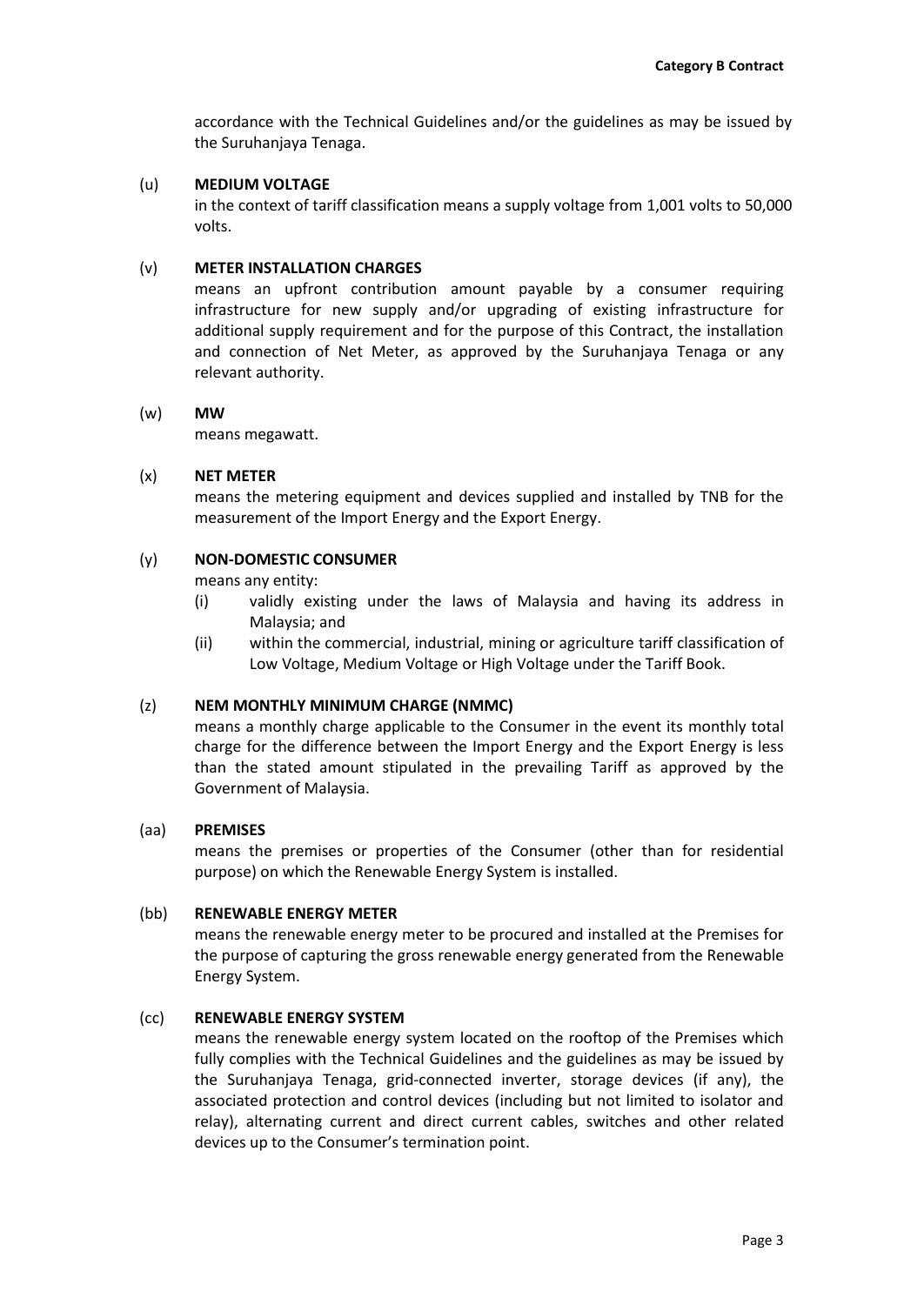accordance with the Technical Guidelines and/or the guidelines as may be issued by the Suruhanjaya Tenaga.

## (u) **MEDIUM VOLTAGE**

in the context of tariff classification means a supply voltage from 1,001 volts to 50,000 volts.

## (v) **METER INSTALLATION CHARGES**

means an upfront contribution amount payable by a consumer requiring infrastructure for new supply and/or upgrading of existing infrastructure for additional supply requirement and for the purpose of this Contract, the installation and connection of Net Meter, as approved by the Suruhanjaya Tenaga or any relevant authority.

## (w) **MW**

means megawatt.

## (x) **NET METER**

means the metering equipment and devices supplied and installed by TNB for the measurement of the Import Energy and the Export Energy.

## (y) **NON-DOMESTIC CONSUMER**

means any entity:

- (i) validly existing under the laws of Malaysia and having its address in Malaysia; and
- (ii) within the commercial, industrial, mining or agriculture tariff classification of Low Voltage, Medium Voltage or High Voltage under the Tariff Book.

## (z) **NEM MONTHLY MINIMUM CHARGE (NMMC)**

means a monthly charge applicable to the Consumer in the event its monthly total charge for the difference between the Import Energy and the Export Energy is less than the stated amount stipulated in the prevailing Tariff as approved by the Government of Malaysia.

## (aa) **PREMISES**

means the premises or properties of the Consumer (other than for residential purpose) on which the Renewable Energy System is installed.

## (bb) **RENEWABLE ENERGY METER**

means the renewable energy meter to be procured and installed at the Premises for the purpose of capturing the gross renewable energy generated from the Renewable Energy System.

## (cc) **RENEWABLE ENERGY SYSTEM**

means the renewable energy system located on the rooftop of the Premises which fully complies with the Technical Guidelines and the guidelines as may be issued by the Suruhanjaya Tenaga, grid-connected inverter, storage devices (if any), the associated protection and control devices (including but not limited to isolator and relay), alternating current and direct current cables, switches and other related devices up to the Consumer's termination point.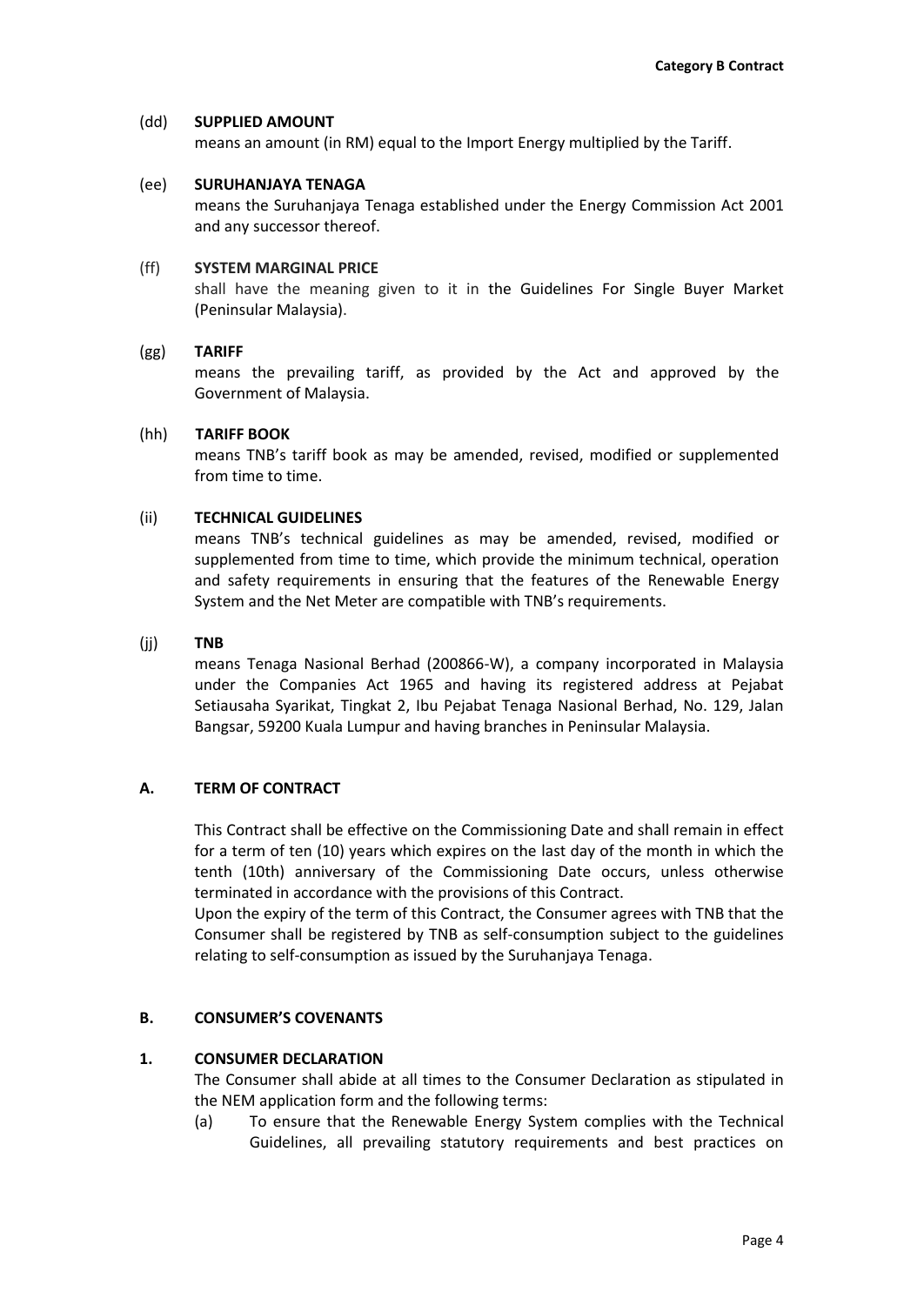### (dd) **SUPPLIED AMOUNT**

means an amount (in RM) equal to the Import Energy multiplied by the Tariff.

### (ee) **SURUHANJAYA TENAGA**

means the Suruhanjaya Tenaga established under the Energy Commission Act 2001 and any successor thereof.

### (ff) **SYSTEM MARGINAL PRICE**

shall have the meaning given to it in the Guidelines For Single Buyer Market (Peninsular Malaysia).

### (gg) **TARIFF**

means the prevailing tariff, as provided by the Act and approved by the Government of Malaysia.

### (hh) **TARIFF BOOK**

means TNB's tariff book as may be amended, revised, modified or supplemented from time to time.

### (ii) **TECHNICAL GUIDELINES**

means TNB's technical guidelines as may be amended, revised, modified or supplemented from time to time, which provide the minimum technical, operation and safety requirements in ensuring that the features of the Renewable Energy System and the Net Meter are compatible with TNB's requirements.

### (jj) **TNB**

means Tenaga Nasional Berhad (200866-W), a company incorporated in Malaysia under the Companies Act 1965 and having its registered address at Pejabat Setiausaha Syarikat, Tingkat 2, Ibu Pejabat Tenaga Nasional Berhad, No. 129, Jalan Bangsar, 59200 Kuala Lumpur and having branches in Peninsular Malaysia.

## **A. TERM OF CONTRACT**

This Contract shall be effective on the Commissioning Date and shall remain in effect for a term of ten (10) years which expires on the last day of the month in which the tenth (10th) anniversary of the Commissioning Date occurs, unless otherwise terminated in accordance with the provisions of this Contract.

Upon the expiry of the term of this Contract, the Consumer agrees with TNB that the Consumer shall be registered by TNB as self-consumption subject to the guidelines relating to self-consumption as issued by the Suruhanjaya Tenaga.

## **B. CONSUMER'S COVENANTS**

## **1. CONSUMER DECLARATION**

The Consumer shall abide at all times to the Consumer Declaration as stipulated in the NEM application form and the following terms:

(a) To ensure that the Renewable Energy System complies with the Technical Guidelines, all prevailing statutory requirements and best practices on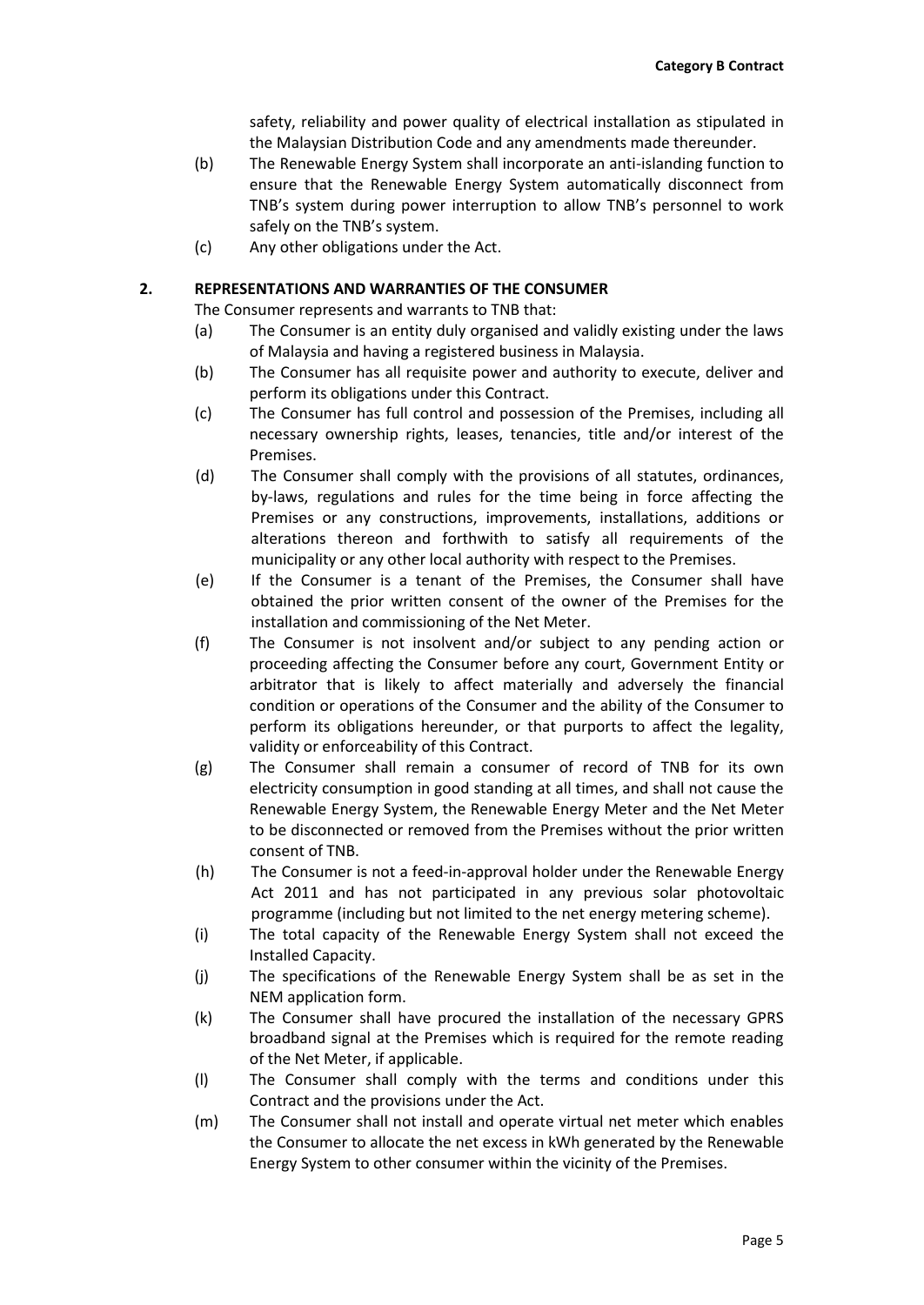safety, reliability and power quality of electrical installation as stipulated in the Malaysian Distribution Code and any amendments made thereunder.

- (b) The Renewable Energy System shall incorporate an anti-islanding function to ensure that the Renewable Energy System automatically disconnect from TNB's system during power interruption to allow TNB's personnel to work safely on the TNB's system.
- (c) Any other obligations under the Act.

## **2. REPRESENTATIONS AND WARRANTIES OF THE CONSUMER**

The Consumer represents and warrants to TNB that:

- (a) The Consumer is an entity duly organised and validly existing under the laws of Malaysia and having a registered business in Malaysia.
- (b) The Consumer has all requisite power and authority to execute, deliver and perform its obligations under this Contract.
- (c) The Consumer has full control and possession of the Premises, including all necessary ownership rights, leases, tenancies, title and/or interest of the Premises.
- (d) The Consumer shall comply with the provisions of all statutes, ordinances, by-laws, regulations and rules for the time being in force affecting the Premises or any constructions, improvements, installations, additions or alterations thereon and forthwith to satisfy all requirements of the municipality or any other local authority with respect to the Premises.
- (e) If the Consumer is a tenant of the Premises, the Consumer shall have obtained the prior written consent of the owner of the Premises for the installation and commissioning of the Net Meter.
- (f) The Consumer is not insolvent and/or subject to any pending action or proceeding affecting the Consumer before any court, Government Entity or arbitrator that is likely to affect materially and adversely the financial condition or operations of the Consumer and the ability of the Consumer to perform its obligations hereunder, or that purports to affect the legality, validity or enforceability of this Contract.
- (g) The Consumer shall remain a consumer of record of TNB for its own electricity consumption in good standing at all times, and shall not cause the Renewable Energy System, the Renewable Energy Meter and the Net Meter to be disconnected or removed from the Premises without the prior written consent of TNB.
- (h) The Consumer is not a feed-in-approval holder under the Renewable Energy Act 2011 and has not participated in any previous solar photovoltaic programme (including but not limited to the net energy metering scheme).
- (i) The total capacity of the Renewable Energy System shall not exceed the Installed Capacity.
- (j) The specifications of the Renewable Energy System shall be as set in the NEM application form.
- (k) The Consumer shall have procured the installation of the necessary GPRS broadband signal at the Premises which is required for the remote reading of the Net Meter, if applicable.
- (l) The Consumer shall comply with the terms and conditions under this Contract and the provisions under the Act.
- (m) The Consumer shall not install and operate virtual net meter which enables the Consumer to allocate the net excess in kWh generated by the Renewable Energy System to other consumer within the vicinity of the Premises.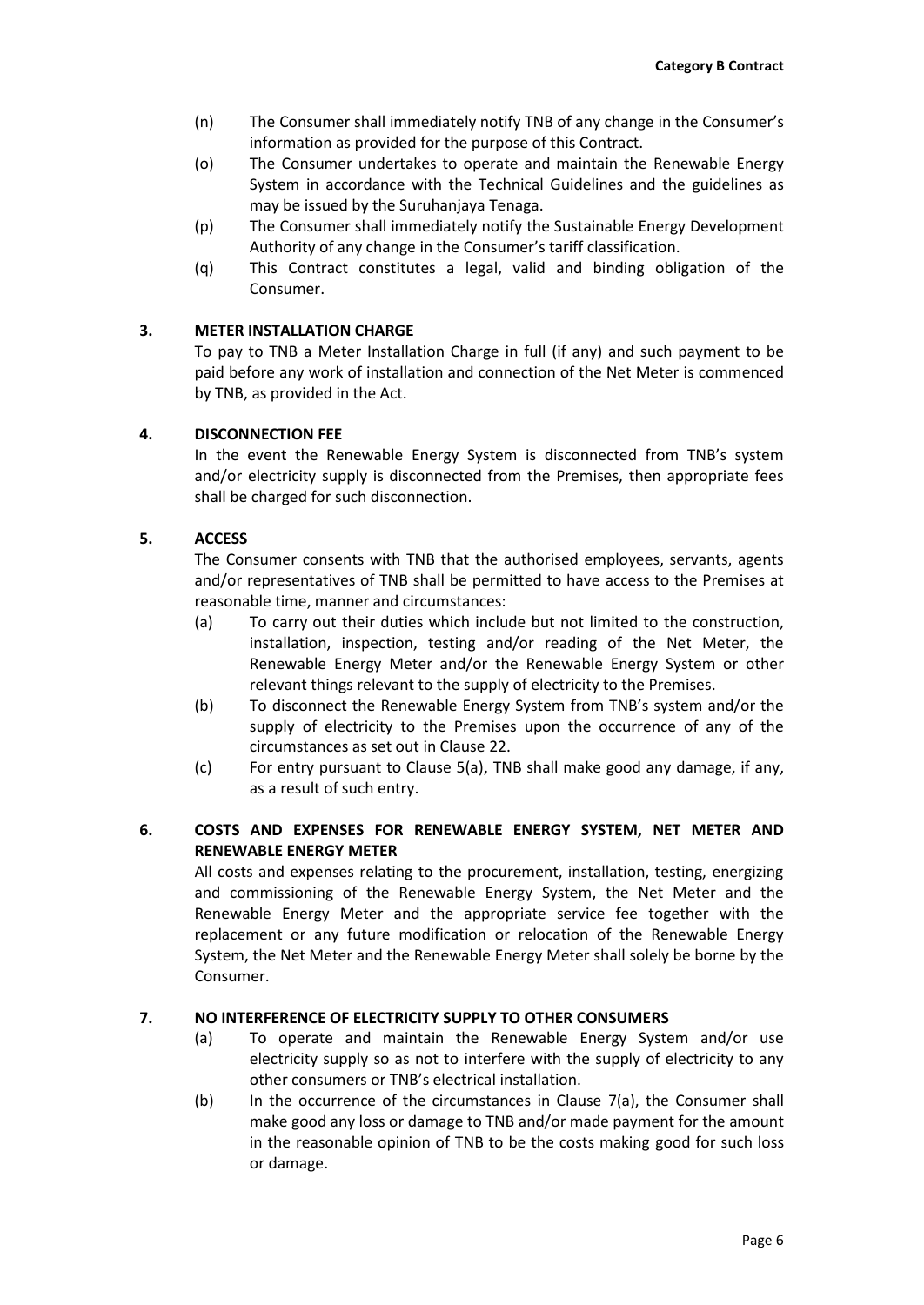- (n) The Consumer shall immediately notify TNB of any change in the Consumer's information as provided for the purpose of this Contract.
- (o) The Consumer undertakes to operate and maintain the Renewable Energy System in accordance with the Technical Guidelines and the guidelines as may be issued by the Suruhanjaya Tenaga.
- (p) The Consumer shall immediately notify the Sustainable Energy Development Authority of any change in the Consumer's tariff classification.
- (q) This Contract constitutes a legal, valid and binding obligation of the Consumer.

## **3. METER INSTALLATION CHARGE**

To pay to TNB a Meter Installation Charge in full (if any) and such payment to be paid before any work of installation and connection of the Net Meter is commenced by TNB, as provided in the Act.

## **4. DISCONNECTION FEE**

In the event the Renewable Energy System is disconnected from TNB's system and/or electricity supply is disconnected from the Premises, then appropriate fees shall be charged for such disconnection.

## **5. ACCESS**

The Consumer consents with TNB that the authorised employees, servants, agents and/or representatives of TNB shall be permitted to have access to the Premises at reasonable time, manner and circumstances:

- (a) To carry out their duties which include but not limited to the construction, installation, inspection, testing and/or reading of the Net Meter, the Renewable Energy Meter and/or the Renewable Energy System or other relevant things relevant to the supply of electricity to the Premises.
- (b) To disconnect the Renewable Energy System from TNB's system and/or the supply of electricity to the Premises upon the occurrence of any of the circumstances as set out in Clause 22.
- (c) For entry pursuant to Clause 5(a), TNB shall make good any damage, if any, as a result of such entry.

## **6. COSTS AND EXPENSES FOR RENEWABLE ENERGY SYSTEM, NET METER AND RENEWABLE ENERGY METER**

All costs and expenses relating to the procurement, installation, testing, energizing and commissioning of the Renewable Energy System, the Net Meter and the Renewable Energy Meter and the appropriate service fee together with the replacement or any future modification or relocation of the Renewable Energy System, the Net Meter and the Renewable Energy Meter shall solely be borne by the Consumer.

# **7. NO INTERFERENCE OF ELECTRICITY SUPPLY TO OTHER CONSUMERS**

- (a) To operate and maintain the Renewable Energy System and/or use electricity supply so as not to interfere with the supply of electricity to any other consumers or TNB's electrical installation.
- (b) In the occurrence of the circumstances in Clause 7(a), the Consumer shall make good any loss or damage to TNB and/or made payment for the amount in the reasonable opinion of TNB to be the costs making good for such loss or damage.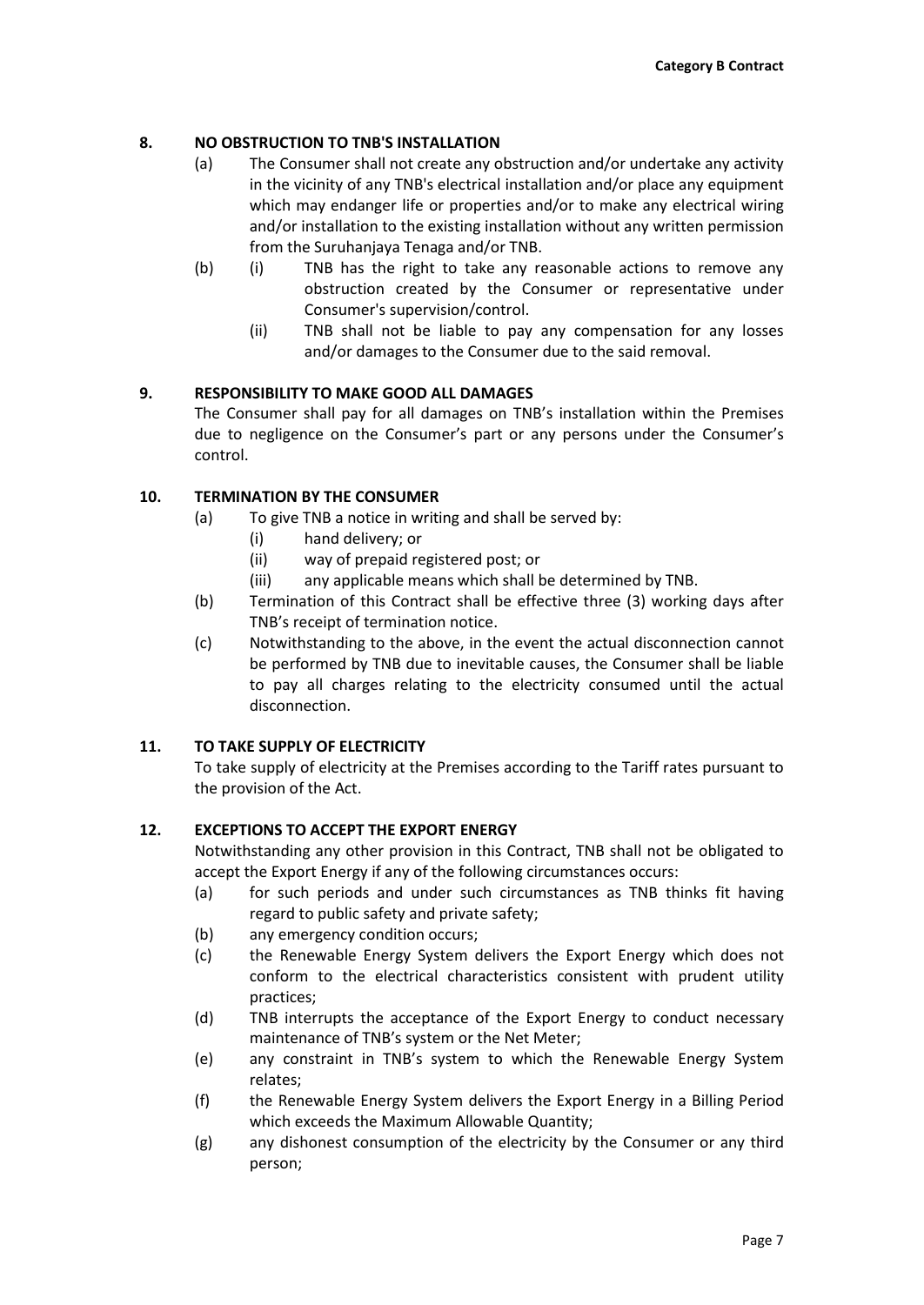## **8. NO OBSTRUCTION TO TNB'S INSTALLATION**

- (a) The Consumer shall not create any obstruction and/or undertake any activity in the vicinity of any TNB's electrical installation and/or place any equipment which may endanger life or properties and/or to make any electrical wiring and/or installation to the existing installation without any written permission from the Suruhanjaya Tenaga and/or TNB.
- (b) (i) TNB has the right to take any reasonable actions to remove any obstruction created by the Consumer or representative under Consumer's supervision/control.
	- (ii) TNB shall not be liable to pay any compensation for any losses and/or damages to the Consumer due to the said removal.

## **9. RESPONSIBILITY TO MAKE GOOD ALL DAMAGES**

The Consumer shall pay for all damages on TNB's installation within the Premises due to negligence on the Consumer's part or any persons under the Consumer's control.

## **10. TERMINATION BY THE CONSUMER**

- (a) To give TNB a notice in writing and shall be served by:
	- (i) hand delivery; or
	- (ii) way of prepaid registered post; or
	- (iii) any applicable means which shall be determined by TNB.
- (b) Termination of this Contract shall be effective three (3) working days after TNB's receipt of termination notice.
- (c) Notwithstanding to the above, in the event the actual disconnection cannot be performed by TNB due to inevitable causes, the Consumer shall be liable to pay all charges relating to the electricity consumed until the actual disconnection.

## **11. TO TAKE SUPPLY OF ELECTRICITY**

To take supply of electricity at the Premises according to the Tariff rates pursuant to the provision of the Act.

## **12. EXCEPTIONS TO ACCEPT THE EXPORT ENERGY**

Notwithstanding any other provision in this Contract, TNB shall not be obligated to accept the Export Energy if any of the following circumstances occurs:

- (a) for such periods and under such circumstances as TNB thinks fit having regard to public safety and private safety;
- (b) any emergency condition occurs;
- (c) the Renewable Energy System delivers the Export Energy which does not conform to the electrical characteristics consistent with prudent utility practices;
- (d) TNB interrupts the acceptance of the Export Energy to conduct necessary maintenance of TNB's system or the Net Meter;
- (e) any constraint in TNB's system to which the Renewable Energy System relates;
- (f) the Renewable Energy System delivers the Export Energy in a Billing Period which exceeds the Maximum Allowable Quantity;
- (g) any dishonest consumption of the electricity by the Consumer or any third person;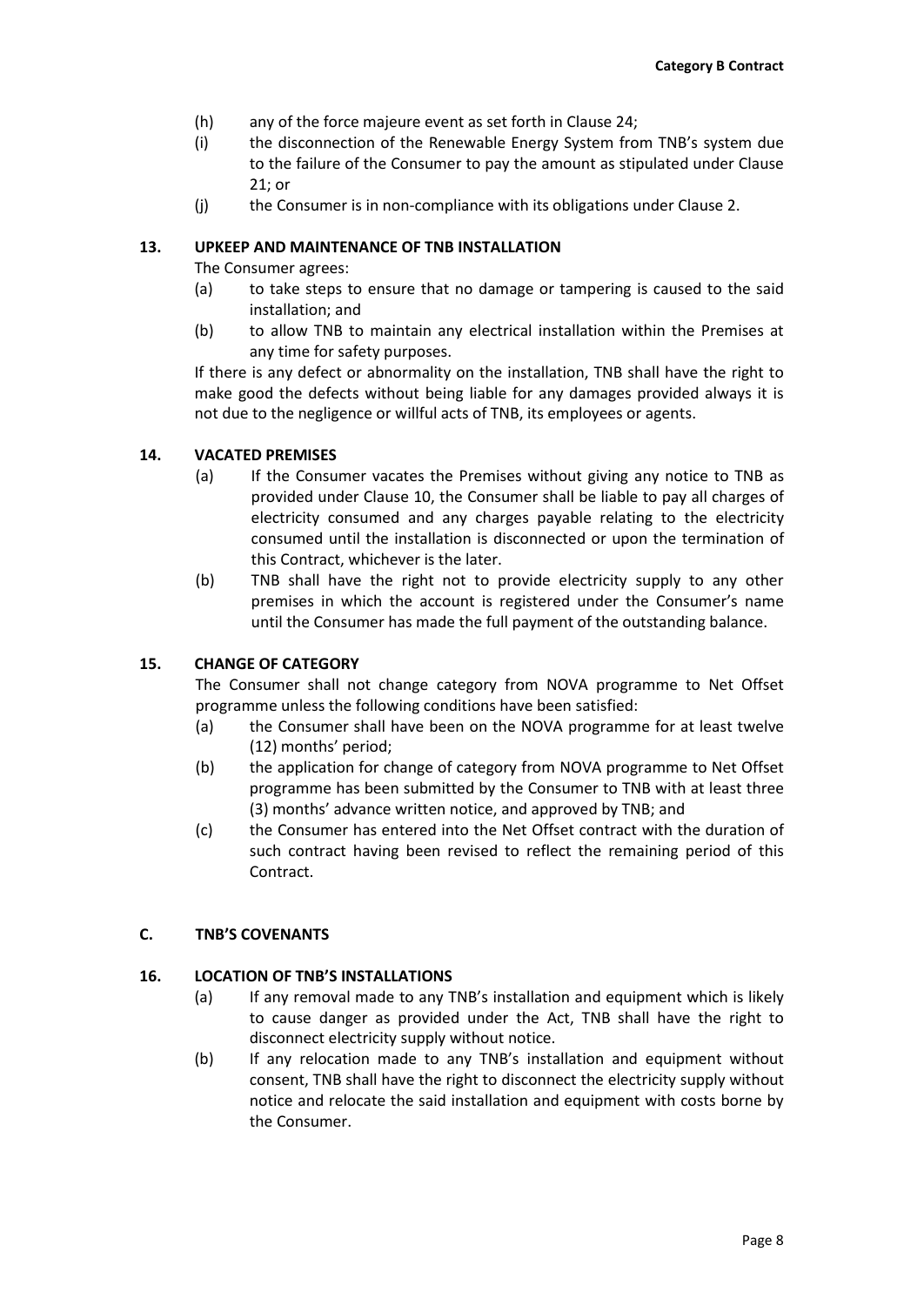- (h) any of the force majeure event as set forth in Clause 24;
- (i) the disconnection of the Renewable Energy System from TNB's system due to the failure of the Consumer to pay the amount as stipulated under Clause 21; or
- (j) the Consumer is in non-compliance with its obligations under Clause 2.

## **13. UPKEEP AND MAINTENANCE OF TNB INSTALLATION**

The Consumer agrees:

- (a) to take steps to ensure that no damage or tampering is caused to the said installation; and
- (b) to allow TNB to maintain any electrical installation within the Premises at any time for safety purposes.

If there is any defect or abnormality on the installation, TNB shall have the right to make good the defects without being liable for any damages provided always it is not due to the negligence or willful acts of TNB, its employees or agents.

## **14. VACATED PREMISES**

- (a) If the Consumer vacates the Premises without giving any notice to TNB as provided under Clause 10, the Consumer shall be liable to pay all charges of electricity consumed and any charges payable relating to the electricity consumed until the installation is disconnected or upon the termination of this Contract, whichever is the later.
- (b) TNB shall have the right not to provide electricity supply to any other premises in which the account is registered under the Consumer's name until the Consumer has made the full payment of the outstanding balance.

# **15. CHANGE OF CATEGORY**

The Consumer shall not change category from NOVA programme to Net Offset programme unless the following conditions have been satisfied:

- (a) the Consumer shall have been on the NOVA programme for at least twelve (12) months' period;
- (b) the application for change of category from NOVA programme to Net Offset programme has been submitted by the Consumer to TNB with at least three (3) months' advance written notice, and approved by TNB; and
- (c) the Consumer has entered into the Net Offset contract with the duration of such contract having been revised to reflect the remaining period of this Contract.

## **C. TNB'S COVENANTS**

## **16. LOCATION OF TNB'S INSTALLATIONS**

- (a) If any removal made to any TNB's installation and equipment which is likely to cause danger as provided under the Act, TNB shall have the right to disconnect electricity supply without notice.
- (b) If any relocation made to any TNB's installation and equipment without consent, TNB shall have the right to disconnect the electricity supply without notice and relocate the said installation and equipment with costs borne by the Consumer.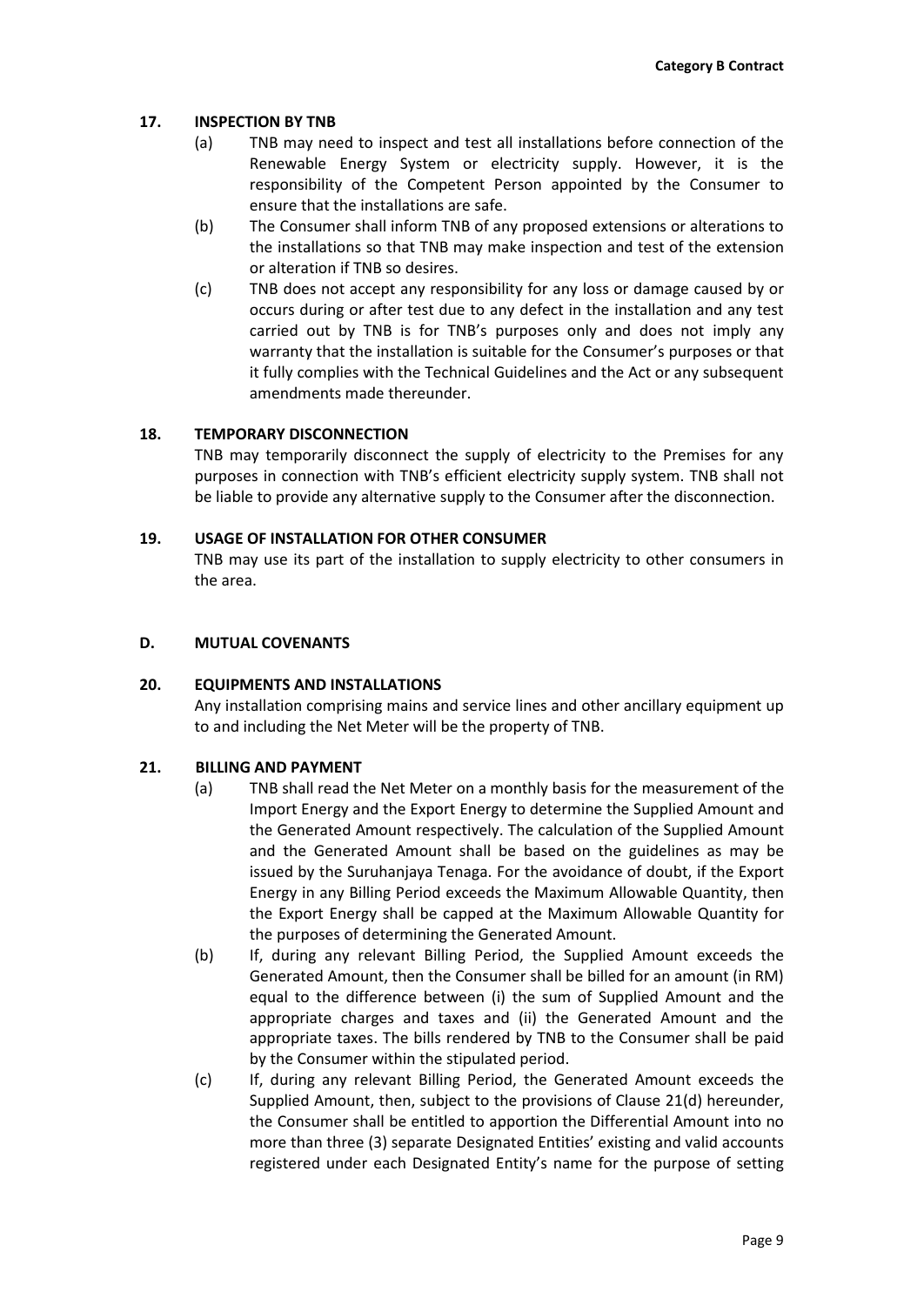## **17. INSPECTION BY TNB**

- (a) TNB may need to inspect and test all installations before connection of the Renewable Energy System or electricity supply. However, it is the responsibility of the Competent Person appointed by the Consumer to ensure that the installations are safe.
- (b) The Consumer shall inform TNB of any proposed extensions or alterations to the installations so that TNB may make inspection and test of the extension or alteration if TNB so desires.
- (c) TNB does not accept any responsibility for any loss or damage caused by or occurs during or after test due to any defect in the installation and any test carried out by TNB is for TNB's purposes only and does not imply any warranty that the installation is suitable for the Consumer's purposes or that it fully complies with the Technical Guidelines and the Act or any subsequent amendments made thereunder.

## **18. TEMPORARY DISCONNECTION**

TNB may temporarily disconnect the supply of electricity to the Premises for any purposes in connection with TNB's efficient electricity supply system. TNB shall not be liable to provide any alternative supply to the Consumer after the disconnection.

## **19. USAGE OF INSTALLATION FOR OTHER CONSUMER**

TNB may use its part of the installation to supply electricity to other consumers in the area.

## **D. MUTUAL COVENANTS**

## **20. EQUIPMENTS AND INSTALLATIONS**

Any installation comprising mains and service lines and other ancillary equipment up to and including the Net Meter will be the property of TNB.

## **21. BILLING AND PAYMENT**

- (a) TNB shall read the Net Meter on a monthly basis for the measurement of the Import Energy and the Export Energy to determine the Supplied Amount and the Generated Amount respectively. The calculation of the Supplied Amount and the Generated Amount shall be based on the guidelines as may be issued by the Suruhanjaya Tenaga. For the avoidance of doubt, if the Export Energy in any Billing Period exceeds the Maximum Allowable Quantity, then the Export Energy shall be capped at the Maximum Allowable Quantity for the purposes of determining the Generated Amount.
- (b) If, during any relevant Billing Period, the Supplied Amount exceeds the Generated Amount, then the Consumer shall be billed for an amount (in RM) equal to the difference between (i) the sum of Supplied Amount and the appropriate charges and taxes and (ii) the Generated Amount and the appropriate taxes. The bills rendered by TNB to the Consumer shall be paid by the Consumer within the stipulated period.
- (c) If, during any relevant Billing Period, the Generated Amount exceeds the Supplied Amount, then, subject to the provisions of Clause 21(d) hereunder, the Consumer shall be entitled to apportion the Differential Amount into no more than three (3) separate Designated Entities' existing and valid accounts registered under each Designated Entity's name for the purpose of setting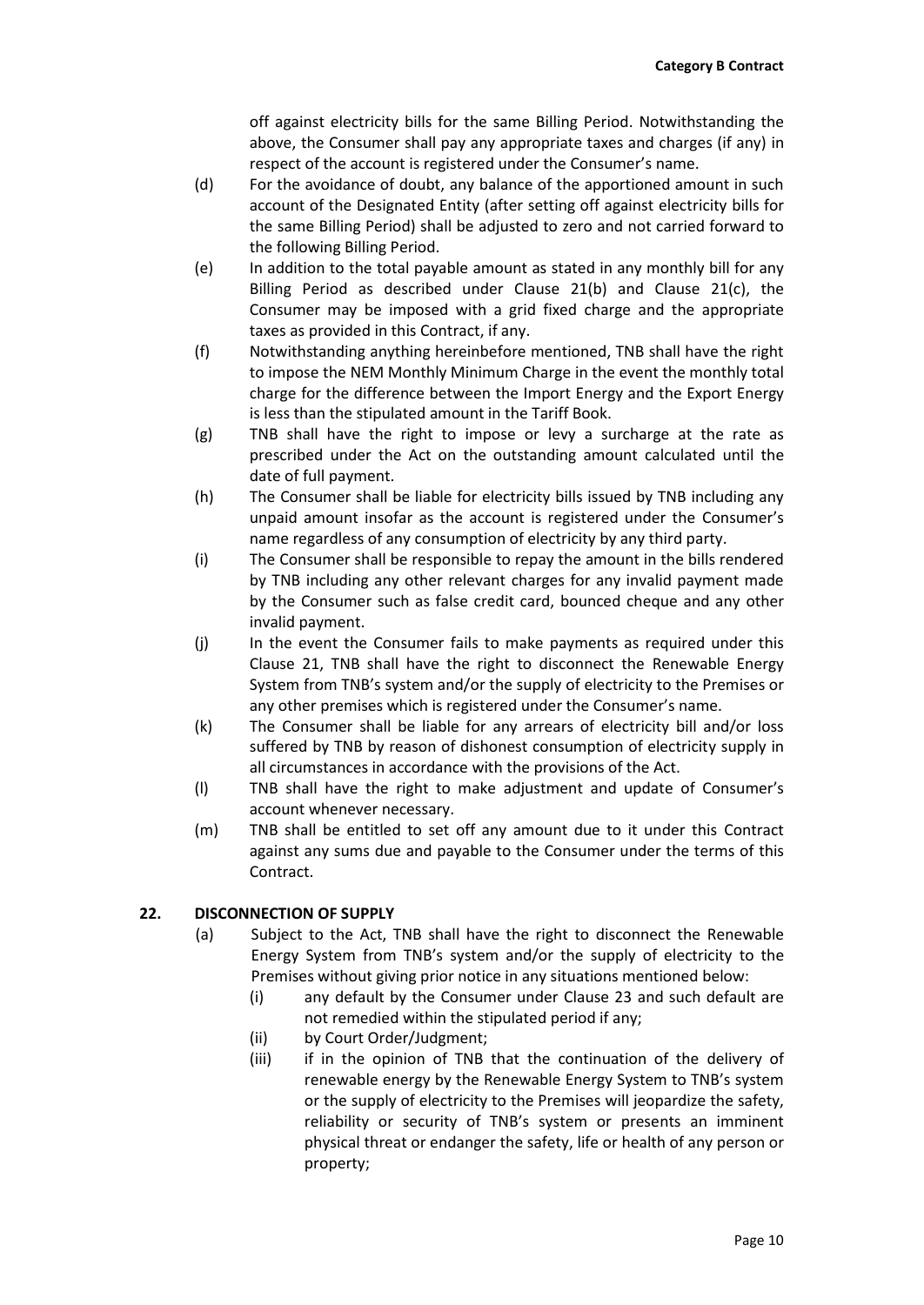off against electricity bills for the same Billing Period. Notwithstanding the above, the Consumer shall pay any appropriate taxes and charges (if any) in respect of the account is registered under the Consumer's name.

- (d) For the avoidance of doubt, any balance of the apportioned amount in such account of the Designated Entity (after setting off against electricity bills for the same Billing Period) shall be adjusted to zero and not carried forward to the following Billing Period.
- (e) In addition to the total payable amount as stated in any monthly bill for any Billing Period as described under Clause 21(b) and Clause 21(c), the Consumer may be imposed with a grid fixed charge and the appropriate taxes as provided in this Contract, if any.
- (f) Notwithstanding anything hereinbefore mentioned, TNB shall have the right to impose the NEM Monthly Minimum Charge in the event the monthly total charge for the difference between the Import Energy and the Export Energy is less than the stipulated amount in the Tariff Book.
- (g) TNB shall have the right to impose or levy a surcharge at the rate as prescribed under the Act on the outstanding amount calculated until the date of full payment.
- (h) The Consumer shall be liable for electricity bills issued by TNB including any unpaid amount insofar as the account is registered under the Consumer's name regardless of any consumption of electricity by any third party.
- (i) The Consumer shall be responsible to repay the amount in the bills rendered by TNB including any other relevant charges for any invalid payment made by the Consumer such as false credit card, bounced cheque and any other invalid payment.
- (j) In the event the Consumer fails to make payments as required under this Clause 21, TNB shall have the right to disconnect the Renewable Energy System from TNB's system and/or the supply of electricity to the Premises or any other premises which is registered under the Consumer's name.
- (k) The Consumer shall be liable for any arrears of electricity bill and/or loss suffered by TNB by reason of dishonest consumption of electricity supply in all circumstances in accordance with the provisions of the Act.
- (l) TNB shall have the right to make adjustment and update of Consumer's account whenever necessary.
- (m) TNB shall be entitled to set off any amount due to it under this Contract against any sums due and payable to the Consumer under the terms of this Contract.

# **22. DISCONNECTION OF SUPPLY**

- (a) Subject to the Act, TNB shall have the right to disconnect the Renewable Energy System from TNB's system and/or the supply of electricity to the Premises without giving prior notice in any situations mentioned below:
	- (i) any default by the Consumer under Clause 23 and such default are not remedied within the stipulated period if any;
	- (ii) by Court Order/Judgment;
	- (iii) if in the opinion of TNB that the continuation of the delivery of renewable energy by the Renewable Energy System to TNB's system or the supply of electricity to the Premises will jeopardize the safety, reliability or security of TNB's system or presents an imminent physical threat or endanger the safety, life or health of any person or property;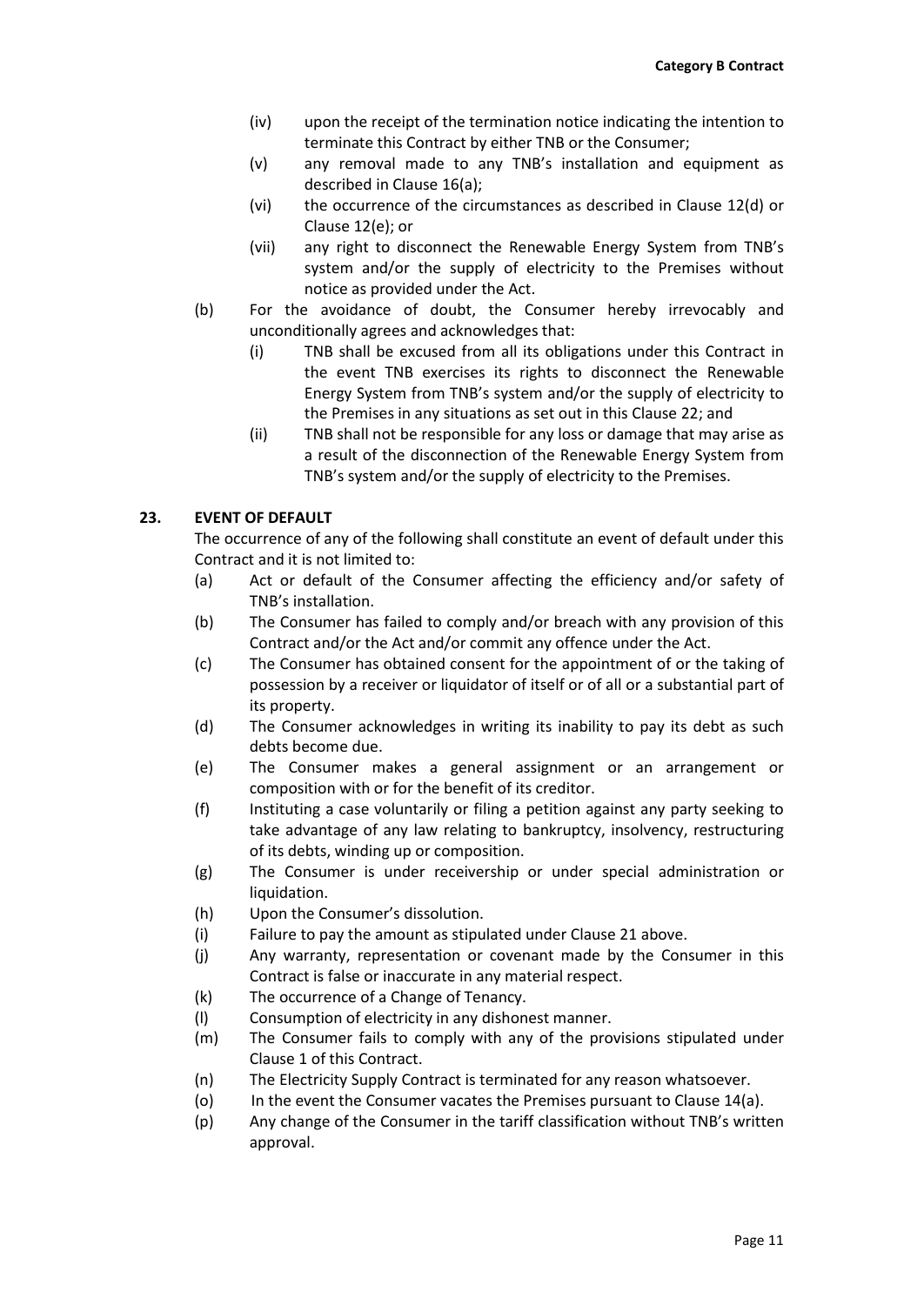- (iv) upon the receipt of the termination notice indicating the intention to terminate this Contract by either TNB or the Consumer;
- (v) any removal made to any TNB's installation and equipment as described in Clause 16(a);
- (vi) the occurrence of the circumstances as described in Clause 12(d) or Clause 12(e); or
- (vii) any right to disconnect the Renewable Energy System from TNB's system and/or the supply of electricity to the Premises without notice as provided under the Act.
- (b) For the avoidance of doubt, the Consumer hereby irrevocably and unconditionally agrees and acknowledges that:
	- (i) TNB shall be excused from all its obligations under this Contract in the event TNB exercises its rights to disconnect the Renewable Energy System from TNB's system and/or the supply of electricity to the Premises in any situations as set out in this Clause 22; and
	- (ii) TNB shall not be responsible for any loss or damage that may arise as a result of the disconnection of the Renewable Energy System from TNB's system and/or the supply of electricity to the Premises.

# **23. EVENT OF DEFAULT**

The occurrence of any of the following shall constitute an event of default under this Contract and it is not limited to:

- (a) Act or default of the Consumer affecting the efficiency and/or safety of TNB's installation.
- (b) The Consumer has failed to comply and/or breach with any provision of this Contract and/or the Act and/or commit any offence under the Act.
- (c) The Consumer has obtained consent for the appointment of or the taking of possession by a receiver or liquidator of itself or of all or a substantial part of its property.
- (d) The Consumer acknowledges in writing its inability to pay its debt as such debts become due.
- (e) The Consumer makes a general assignment or an arrangement or composition with or for the benefit of its creditor.
- (f) Instituting a case voluntarily or filing a petition against any party seeking to take advantage of any law relating to bankruptcy, insolvency, restructuring of its debts, winding up or composition.
- (g) The Consumer is under receivership or under special administration or liquidation.
- (h) Upon the Consumer's dissolution.
- (i) Failure to pay the amount as stipulated under Clause 21 above.
- (j) Any warranty, representation or covenant made by the Consumer in this Contract is false or inaccurate in any material respect.
- (k) The occurrence of a Change of Tenancy.
- (l) Consumption of electricity in any dishonest manner.
- (m) The Consumer fails to comply with any of the provisions stipulated under Clause 1 of this Contract.
- (n) The Electricity Supply Contract is terminated for any reason whatsoever.
- (o) In the event the Consumer vacates the Premises pursuant to Clause 14(a).
- (p) Any change of the Consumer in the tariff classification without TNB's written approval.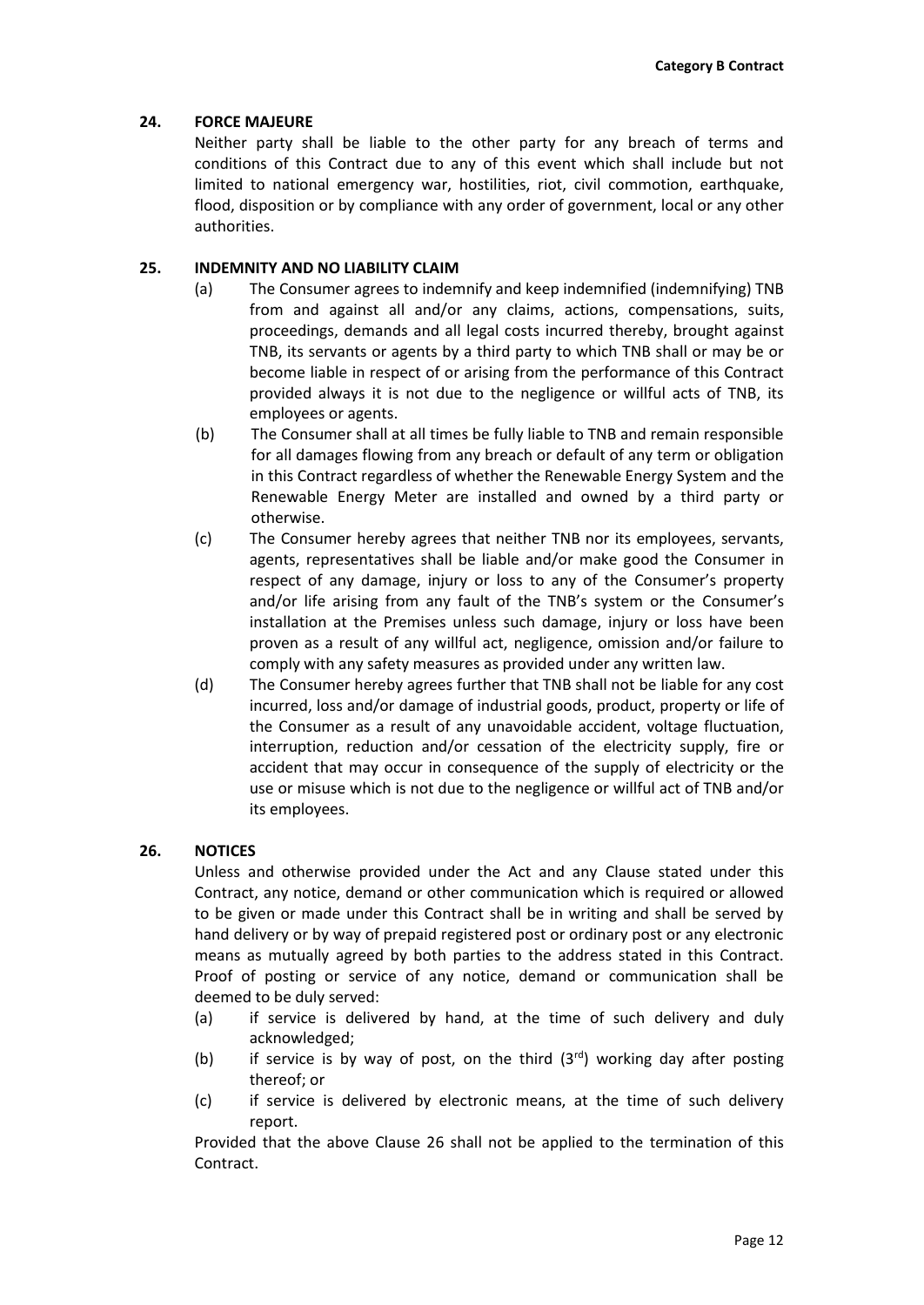## **24. FORCE MAJEURE**

Neither party shall be liable to the other party for any breach of terms and conditions of this Contract due to any of this event which shall include but not limited to national emergency war, hostilities, riot, civil commotion, earthquake, flood, disposition or by compliance with any order of government, local or any other authorities.

## **25. INDEMNITY AND NO LIABILITY CLAIM**

- (a) The Consumer agrees to indemnify and keep indemnified (indemnifying) TNB from and against all and/or any claims, actions, compensations, suits, proceedings, demands and all legal costs incurred thereby, brought against TNB, its servants or agents by a third party to which TNB shall or may be or become liable in respect of or arising from the performance of this Contract provided always it is not due to the negligence or willful acts of TNB, its employees or agents.
- (b) The Consumer shall at all times be fully liable to TNB and remain responsible for all damages flowing from any breach or default of any term or obligation in this Contract regardless of whether the Renewable Energy System and the Renewable Energy Meter are installed and owned by a third party or otherwise.
- (c) The Consumer hereby agrees that neither TNB nor its employees, servants, agents, representatives shall be liable and/or make good the Consumer in respect of any damage, injury or loss to any of the Consumer's property and/or life arising from any fault of the TNB's system or the Consumer's installation at the Premises unless such damage, injury or loss have been proven as a result of any willful act, negligence, omission and/or failure to comply with any safety measures as provided under any written law.
- (d) The Consumer hereby agrees further that TNB shall not be liable for any cost incurred, loss and/or damage of industrial goods, product, property or life of the Consumer as a result of any unavoidable accident, voltage fluctuation, interruption, reduction and/or cessation of the electricity supply, fire or accident that may occur in consequence of the supply of electricity or the use or misuse which is not due to the negligence or willful act of TNB and/or its employees.

## **26. NOTICES**

Unless and otherwise provided under the Act and any Clause stated under this Contract, any notice, demand or other communication which is required or allowed to be given or made under this Contract shall be in writing and shall be served by hand delivery or by way of prepaid registered post or ordinary post or any electronic means as mutually agreed by both parties to the address stated in this Contract. Proof of posting or service of any notice, demand or communication shall be deemed to be duly served:

- (a) if service is delivered by hand, at the time of such delivery and duly acknowledged;
- (b) if service is by way of post, on the third  $(3^{rd})$  working day after posting thereof; or
- (c) if service is delivered by electronic means, at the time of such delivery report.

Provided that the above Clause 26 shall not be applied to the termination of this Contract.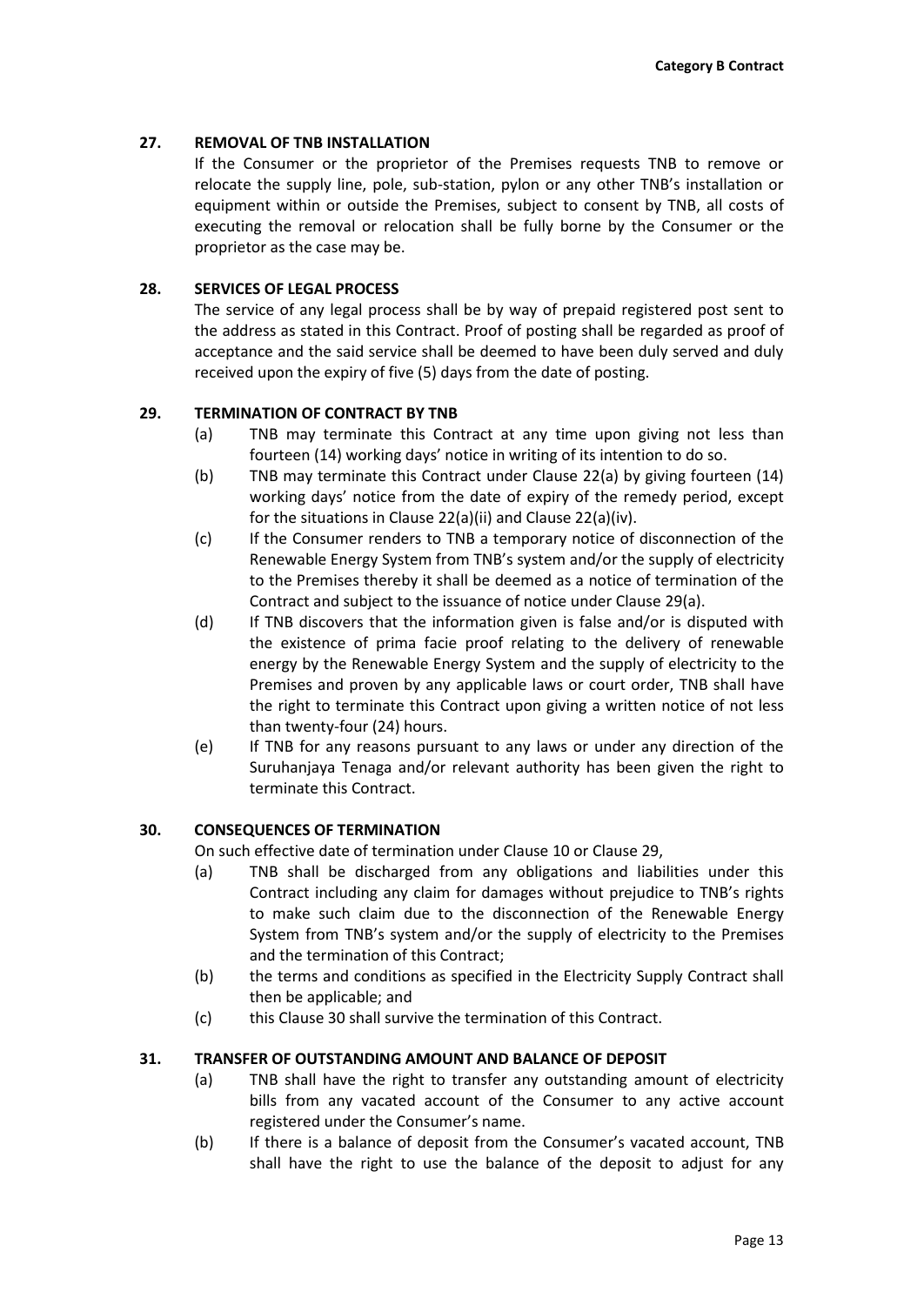## **27. REMOVAL OF TNB INSTALLATION**

If the Consumer or the proprietor of the Premises requests TNB to remove or relocate the supply line, pole, sub-station, pylon or any other TNB's installation or equipment within or outside the Premises, subject to consent by TNB, all costs of executing the removal or relocation shall be fully borne by the Consumer or the proprietor as the case may be.

## **28. SERVICES OF LEGAL PROCESS**

The service of any legal process shall be by way of prepaid registered post sent to the address as stated in this Contract. Proof of posting shall be regarded as proof of acceptance and the said service shall be deemed to have been duly served and duly received upon the expiry of five (5) days from the date of posting.

## **29. TERMINATION OF CONTRACT BY TNB**

- (a) TNB may terminate this Contract at any time upon giving not less than fourteen (14) working days' notice in writing of its intention to do so.
- (b) TNB may terminate this Contract under Clause 22(a) by giving fourteen (14) working days' notice from the date of expiry of the remedy period, except for the situations in Clause 22(a)(ii) and Clause 22(a)(iv).
- (c) If the Consumer renders to TNB a temporary notice of disconnection of the Renewable Energy System from TNB's system and/or the supply of electricity to the Premises thereby it shall be deemed as a notice of termination of the Contract and subject to the issuance of notice under Clause 29(a).
- (d) If TNB discovers that the information given is false and/or is disputed with the existence of prima facie proof relating to the delivery of renewable energy by the Renewable Energy System and the supply of electricity to the Premises and proven by any applicable laws or court order, TNB shall have the right to terminate this Contract upon giving a written notice of not less than twenty-four (24) hours.
- (e) If TNB for any reasons pursuant to any laws or under any direction of the Suruhanjaya Tenaga and/or relevant authority has been given the right to terminate this Contract.

## **30. CONSEQUENCES OF TERMINATION**

On such effective date of termination under Clause 10 or Clause 29,

- (a) TNB shall be discharged from any obligations and liabilities under this Contract including any claim for damages without prejudice to TNB's rights to make such claim due to the disconnection of the Renewable Energy System from TNB's system and/or the supply of electricity to the Premises and the termination of this Contract;
- (b) the terms and conditions as specified in the Electricity Supply Contract shall then be applicable; and
- (c) this Clause 30 shall survive the termination of this Contract.

## **31. TRANSFER OF OUTSTANDING AMOUNT AND BALANCE OF DEPOSIT**

- (a) TNB shall have the right to transfer any outstanding amount of electricity bills from any vacated account of the Consumer to any active account registered under the Consumer's name.
- (b) If there is a balance of deposit from the Consumer's vacated account, TNB shall have the right to use the balance of the deposit to adjust for any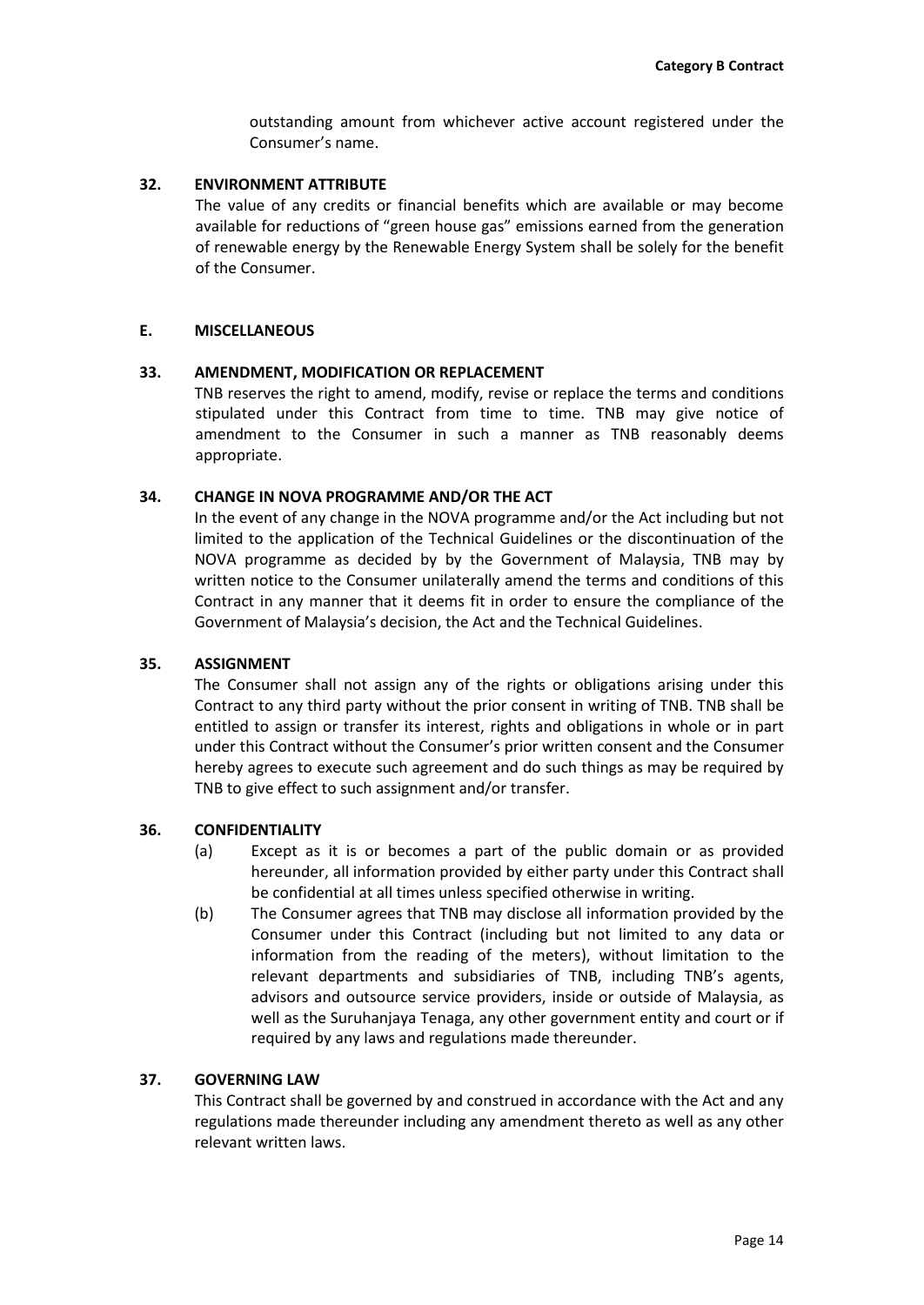outstanding amount from whichever active account registered under the Consumer's name.

### **32. ENVIRONMENT ATTRIBUTE**

The value of any credits or financial benefits which are available or may become available for reductions of "green house gas" emissions earned from the generation of renewable energy by the Renewable Energy System shall be solely for the benefit of the Consumer.

### **E. MISCELLANEOUS**

#### **33. AMENDMENT, MODIFICATION OR REPLACEMENT**

TNB reserves the right to amend, modify, revise or replace the terms and conditions stipulated under this Contract from time to time. TNB may give notice of amendment to the Consumer in such a manner as TNB reasonably deems appropriate.

### **34. CHANGE IN NOVA PROGRAMME AND/OR THE ACT**

In the event of any change in the NOVA programme and/or the Act including but not limited to the application of the Technical Guidelines or the discontinuation of the NOVA programme as decided by by the Government of Malaysia, TNB may by written notice to the Consumer unilaterally amend the terms and conditions of this Contract in any manner that it deems fit in order to ensure the compliance of the Government of Malaysia's decision, the Act and the Technical Guidelines.

#### **35. ASSIGNMENT**

The Consumer shall not assign any of the rights or obligations arising under this Contract to any third party without the prior consent in writing of TNB. TNB shall be entitled to assign or transfer its interest, rights and obligations in whole or in part under this Contract without the Consumer's prior written consent and the Consumer hereby agrees to execute such agreement and do such things as may be required by TNB to give effect to such assignment and/or transfer.

## **36. CONFIDENTIALITY**

- (a) Except as it is or becomes a part of the public domain or as provided hereunder, all information provided by either party under this Contract shall be confidential at all times unless specified otherwise in writing.
- (b) The Consumer agrees that TNB may disclose all information provided by the Consumer under this Contract (including but not limited to any data or information from the reading of the meters), without limitation to the relevant departments and subsidiaries of TNB, including TNB's agents, advisors and outsource service providers, inside or outside of Malaysia, as well as the Suruhanjaya Tenaga, any other government entity and court or if required by any laws and regulations made thereunder.

### **37. GOVERNING LAW**

This Contract shall be governed by and construed in accordance with the Act and any regulations made thereunder including any amendment thereto as well as any other relevant written laws.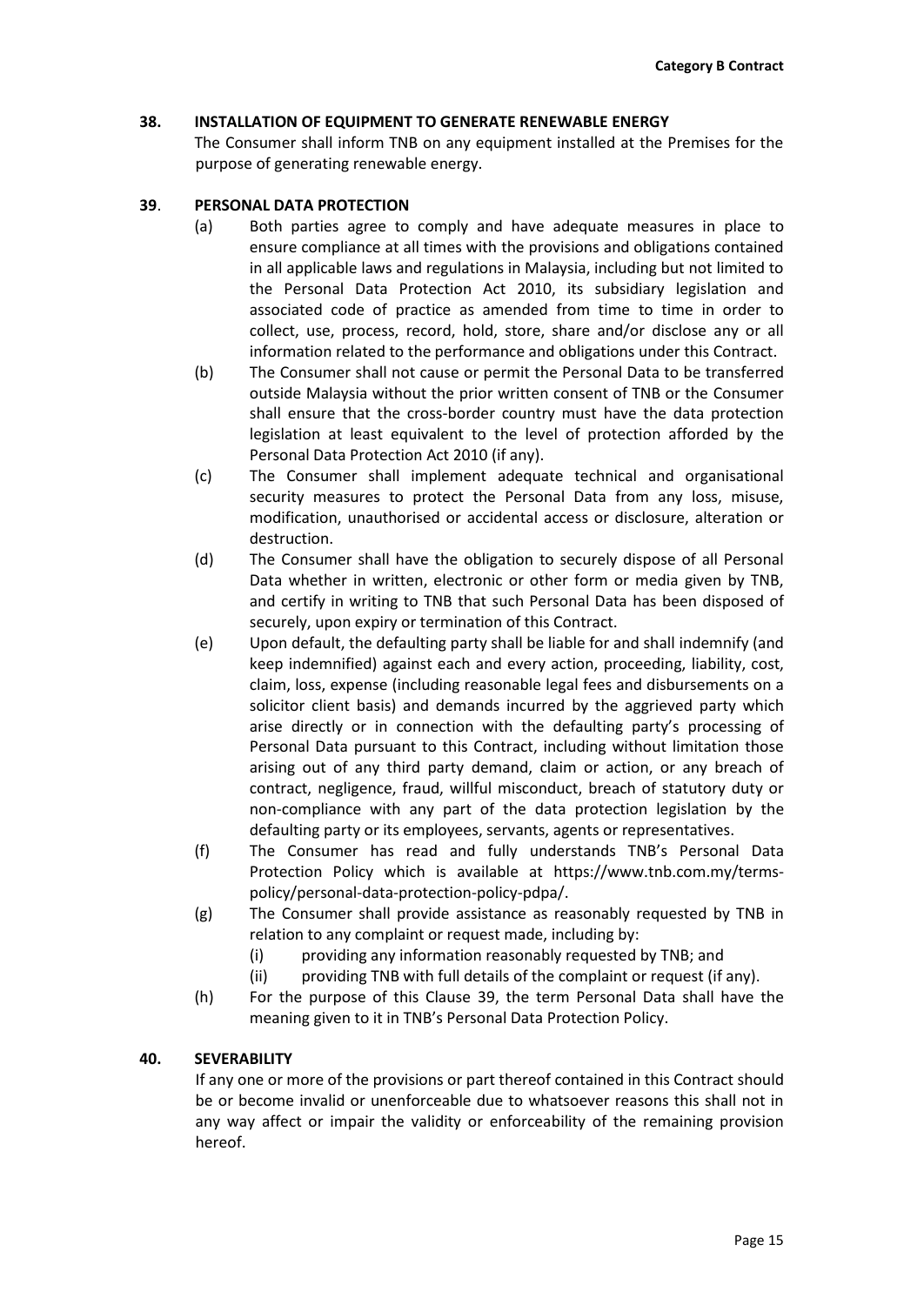## **38. INSTALLATION OF EQUIPMENT TO GENERATE RENEWABLE ENERGY**

The Consumer shall inform TNB on any equipment installed at the Premises for the purpose of generating renewable energy.

## **39**. **PERSONAL DATA PROTECTION**

- (a) Both parties agree to comply and have adequate measures in place to ensure compliance at all times with the provisions and obligations contained in all applicable laws and regulations in Malaysia, including but not limited to the Personal Data Protection Act 2010, its subsidiary legislation and associated code of practice as amended from time to time in order to collect, use, process, record, hold, store, share and/or disclose any or all information related to the performance and obligations under this Contract.
- (b) The Consumer shall not cause or permit the Personal Data to be transferred outside Malaysia without the prior written consent of TNB or the Consumer shall ensure that the cross-border country must have the data protection legislation at least equivalent to the level of protection afforded by the Personal Data Protection Act 2010 (if any).
- (c) The Consumer shall implement adequate technical and organisational security measures to protect the Personal Data from any loss, misuse, modification, unauthorised or accidental access or disclosure, alteration or destruction.
- (d) The Consumer shall have the obligation to securely dispose of all Personal Data whether in written, electronic or other form or media given by TNB, and certify in writing to TNB that such Personal Data has been disposed of securely, upon expiry or termination of this Contract.
- (e) Upon default, the defaulting party shall be liable for and shall indemnify (and keep indemnified) against each and every action, proceeding, liability, cost, claim, loss, expense (including reasonable legal fees and disbursements on a solicitor client basis) and demands incurred by the aggrieved party which arise directly or in connection with the defaulting party's processing of Personal Data pursuant to this Contract, including without limitation those arising out of any third party demand, claim or action, or any breach of contract, negligence, fraud, willful misconduct, breach of statutory duty or non-compliance with any part of the data protection legislation by the defaulting party or its employees, servants, agents or representatives.
- (f) The Consumer has read and fully understands TNB's Personal Data Protection Policy which is available at [https://www.tnb.com.my/terms](https://www.tnb.com.my/terms-policy/personal-data-protection-policy-pdpa/)[policy/personal-data-protection-policy-pdpa/.](https://www.tnb.com.my/terms-policy/personal-data-protection-policy-pdpa/)
- (g) The Consumer shall provide assistance as reasonably requested by TNB in relation to any complaint or request made, including by:
	- (i) providing any information reasonably requested by TNB; and
	- (ii) providing TNB with full details of the complaint or request (if any).
- (h) For the purpose of this Clause 39, the term Personal Data shall have the meaning given to it in TNB's Personal Data Protection Policy.

# **40. SEVERABILITY**

If any one or more of the provisions or part thereof contained in this Contract should be or become invalid or unenforceable due to whatsoever reasons this shall not in any way affect or impair the validity or enforceability of the remaining provision hereof.